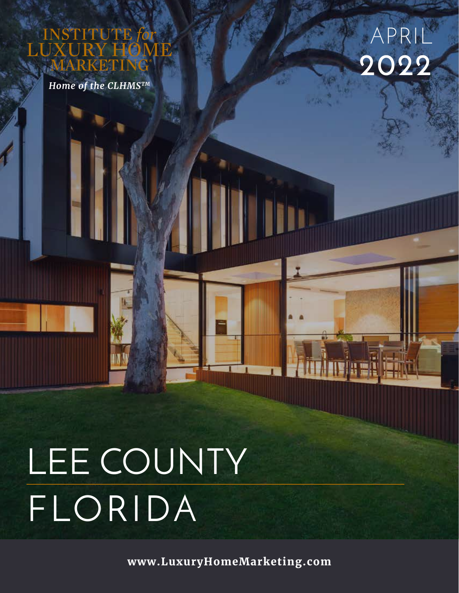UTE

*Home of the CLHMSTM*



# LEE COUNTY FLORIDA

**www.LuxuryHomeMarketing.com**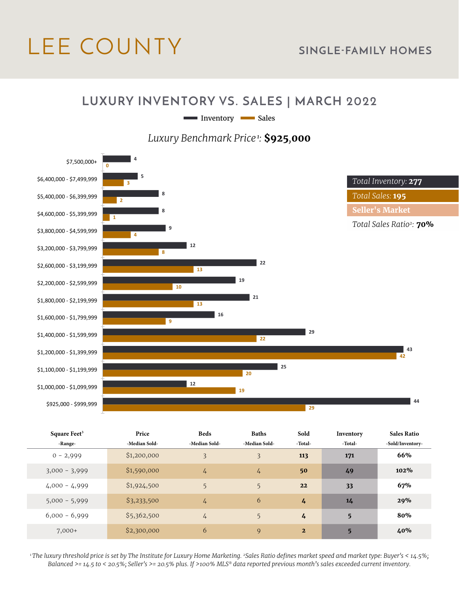# LEE COUNTY **SINGLE-FAMILY HOMES**

#### **LUXURY INVENTORY VS. SALES | MARCH 2022**

Inventory Sales

*Luxury Benchmark Price<sup>1</sup>:* **\$925***,***000**



| Square Feet <sup>3</sup> |                 | Price         | <b>Beds</b>    | <b>Baths</b>  | Sold           | Inventory | <b>Sales Ratio</b> |
|--------------------------|-----------------|---------------|----------------|---------------|----------------|-----------|--------------------|
| -Range-                  |                 | -Median Sold- | -Median Sold-  | -Median Sold- | -Total-        | -Total-   | -Sold/Inventory-   |
|                          | $0 - 2,999$     | \$1,200,000   | $\overline{3}$ | 3             | 113            | 171       | 66%                |
|                          | $3,000 - 3,999$ | \$1,590,000   | 4              | $\frac{1}{4}$ | 50             | 49        | 102%               |
|                          | $4,000 - 4,999$ | \$1,924,500   | 5              | 5             | 22             | 33        | 67%                |
|                          | $5,000 - 5,999$ | \$3,233,500   | $\frac{1}{4}$  | 6             | 4              | 14        | 29%                |
|                          | $6,000 - 6,999$ | \$5,362,500   | $\frac{1}{4}$  | 5             | 4              | 5         | 80%                |
|                          | $7,000+$        | \$2,300,000   | 6              | 9             | $\overline{2}$ | 5         | 40%                |

*1 The luxury threshold price is set by The Institute for Luxury Home Marketing. 2Sales Ratio defines market speed and market type: Buyer's < 14.5%; Balanced >= 14.5 to < 20.5%; Seller's >= 20.5% plus. If >100% MLS® data reported previous month's sales exceeded current inventory.*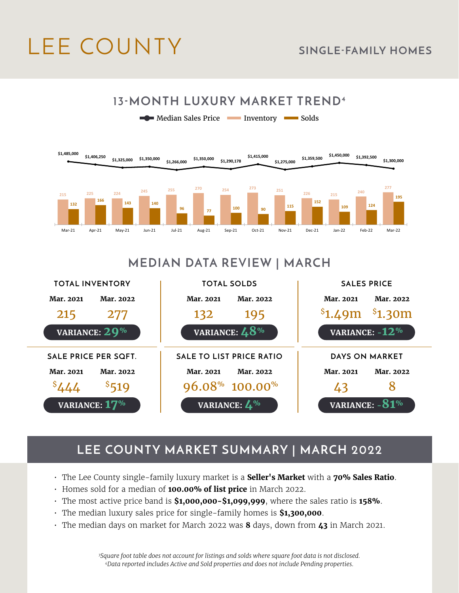# LEE COUNTY **SINGLE-FAMILY HOMES**



### **MEDIAN DATA REVIEW | MARCH**



### **LEE COUNTY MARKET SUMMARY | MARCH 2022**

- The Lee County single-family luxury market is a **Seller's Market** with a **70% Sales Ratio**.
- Homes sold for a median of **100.00% of list price** in March 2022.
- The most active price band is **\$1,000,000-\$1,099,999**, where the sales ratio is **158%**.
- The median luxury sales price for single-family homes is **\$1,300,000**.
- The median days on market for March 2022 was **8** days, down from **43** in March 2021.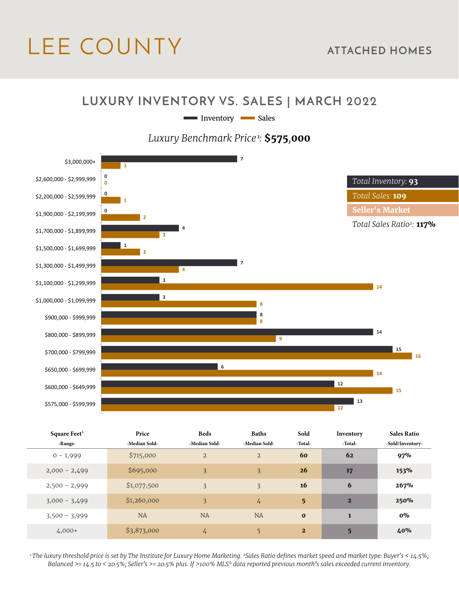# LEE COUNTY **ATTACHED HOMES**

#### **LUXURY INVENTORY VS. SALES | MARCH 2022**

Inventory Sales

#### *Luxury Benchmark Price<sup>1</sup>:* **\$575***,***000**



| Square Feet <sup>3</sup><br>-Range- | Price<br>-Median Sold- | <b>Beds</b><br>-Median Sold- | <b>Baths</b><br>-Median Sold- | Sold<br>-Total- | Inventory<br>-Total- | <b>Sales Ratio</b><br>-Sold/Inventory- |
|-------------------------------------|------------------------|------------------------------|-------------------------------|-----------------|----------------------|----------------------------------------|
| $0 - 1,999$                         | \$715,000              | $\overline{2}$               | $\overline{2}$                | 60              | 62                   | 97%                                    |
| $2,000 - 2,499$                     | \$695,000              | 3                            | 3                             | 26              | 17                   | 153%                                   |
| $2,500 - 2,999$                     | \$1,077,500            | 3                            | 3                             | 16              | 6                    | 267%                                   |
| $3,000 - 3,499$                     | \$1,260,000            | $\overline{3}$               | $\frac{1}{4}$                 | 5 <sup>5</sup>  | $\overline{2}$       | 250%                                   |
| $3,500 - 3,999$                     | <b>NA</b>              | <b>NA</b>                    | <b>NA</b>                     | $\bf{0}$        | $\mathbf{1}$         | $0\%$                                  |
| $4,000+$                            | \$3,873,000            | 4                            | 5                             | $\overline{2}$  | 5                    | 40%                                    |

*1 The luxury threshold price is set by The Institute for Luxury Home Marketing. 2Sales Ratio defines market speed and market type: Buyer's < 14.5%; Balanced >= 14.5 to < 20.5%; Seller's >= 20.5% plus. If >100% MLS® data reported previous month's sales exceeded current inventory.*